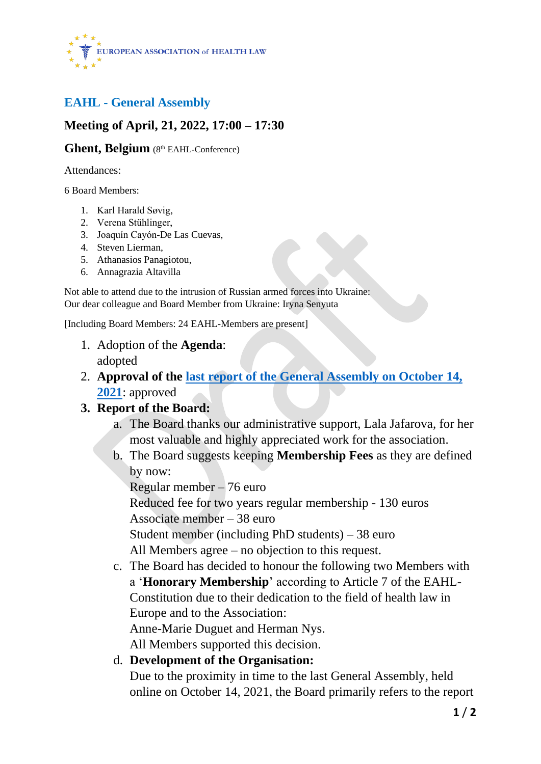

# **EAHL - General Assembly**

### **Meeting of April, 21, 2022, 17:00 – 17:30**

#### Ghent, Belgium (8th EAHL-Conference)

Attendances:

6 Board Members:

- 1. Karl Harald Søvig,
- 2. Verena Stühlinger,
- 3. Joaquín Cayón-De Las Cuevas,
- 4. Steven Lierman,
- 5. Athanasios Panagiotou,
- 6. Annagrazia Altavilla

Not able to attend due to the intrusion of Russian armed forces into Ukraine: Our dear colleague and Board Member from Ukraine: Iryna Senyuta

[Including Board Members: 24 EAHL-Members are present]

- 1. Adoption of the **Agenda**: adopted
- 2. **Approval of the last report [of the General Assembly on October 14,](https://eahl.eu/sites/default/files/Annex_2_EAHL_GA_2021_Report_final%20(1).pdf)  [2021](https://eahl.eu/sites/default/files/Annex_2_EAHL_GA_2021_Report_final%20(1).pdf)**: approved

### **3. Report of the Board:**

- a. The Board thanks our administrative support, Lala Jafarova, for her most valuable and highly appreciated work for the association.
- b. The Board suggests keeping **Membership Fees** as they are defined by now:

Regular member – 76 euro

Reduced fee for two years regular membership - 130 euros Associate member – 38 euro

Student member (including PhD students) – 38 euro

All Members agree – no objection to this request.

c. The Board has decided to honour the following two Members with a '**Honorary Membership**' according to Article 7 of the EAHL-Constitution due to their dedication to the field of health law in Europe and to the Association: Anne-Marie Duguet and Herman Nys.

All Members supported this decision.

d. **Development of the Organisation:**

Due to the proximity in time to the last General Assembly, held online on October 14, 2021, the Board primarily refers to the report